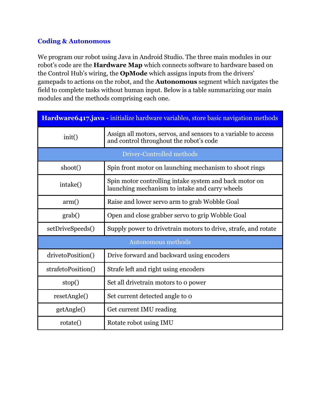### **Coding & Autonomous**

We program our robot using Java in Android Studio. The three main modules in our robot's code are the **Hardware Map** which connects software to hardware based on the Control Hub's wiring, the **OpMode** which assigns inputs from the drivers' gamepads to actions on the robot, and the **Autonomous** segment which navigates the field to complete tasks without human input. Below is a table summarizing our main modules and the methods comprising each one.

| Hardware6417.java - initialize hardware variables, store basic navigation methods |                                                                                                           |  |  |
|-----------------------------------------------------------------------------------|-----------------------------------------------------------------------------------------------------------|--|--|
| init()                                                                            | Assign all motors, servos, and sensors to a variable to access<br>and control throughout the robot's code |  |  |
|                                                                                   | Driver-Controlled methods                                                                                 |  |  |
| shoot()                                                                           | Spin front motor on launching mechanism to shoot rings                                                    |  |  |
| intake()                                                                          | Spin motor controlling intake system and back motor on<br>launching mechanism to intake and carry wheels  |  |  |
| arm()                                                                             | Raise and lower servo arm to grab Wobble Goal                                                             |  |  |
| grab()                                                                            | Open and close grabber servo to grip Wobble Goal                                                          |  |  |
| setDriveSpeeds()                                                                  | Supply power to drivetrain motors to drive, strafe, and rotate                                            |  |  |
| Autonomous methods                                                                |                                                                                                           |  |  |
| drivetoPosition()                                                                 | Drive forward and backward using encoders                                                                 |  |  |
| strafetoPosition()                                                                | Strafe left and right using encoders                                                                      |  |  |
| stop()                                                                            | Set all drivetrain motors to o power                                                                      |  |  |
| resetAngle()                                                                      | Set current detected angle to o                                                                           |  |  |
| getAngle()                                                                        | Get current IMU reading                                                                                   |  |  |
| rotate()                                                                          | Rotate robot using IMU                                                                                    |  |  |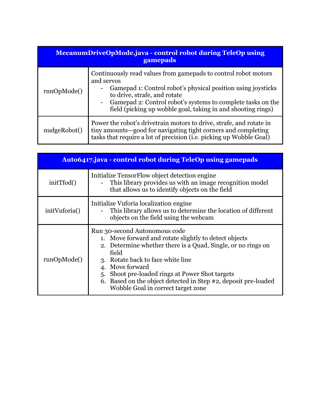| <b>MecanumDriveOpMode.java - control robot during TeleOp using</b><br>gamepads |                                                                                                                                                                                                                                                                                                                                                                  |  |
|--------------------------------------------------------------------------------|------------------------------------------------------------------------------------------------------------------------------------------------------------------------------------------------------------------------------------------------------------------------------------------------------------------------------------------------------------------|--|
| runOpMode()                                                                    | Continuously read values from gamepads to control robot motors<br>and servos<br>Gamepad 1: Control robot's physical position using joysticks<br>$\qquad \qquad \blacksquare$<br>to drive, strafe, and rotate<br>Gamepad 2: Control robot's systems to complete tasks on the<br>$\qquad \qquad -$<br>field (picking up wobble goal, taking in and shooting rings) |  |
| nudgeRobot()                                                                   | Power the robot's drivetrain motors to drive, strafe, and rotate in<br>tiny amounts—good for navigating tight corners and completing<br>tasks that require a lot of precision (i.e. picking up Wobble Goal)                                                                                                                                                      |  |

| <b>Auto6417.java - control robot during TeleOp using gamepads</b> |                                                                                                                                                                                                                                                                                                                                                                                       |  |
|-------------------------------------------------------------------|---------------------------------------------------------------------------------------------------------------------------------------------------------------------------------------------------------------------------------------------------------------------------------------------------------------------------------------------------------------------------------------|--|
| initTfod()                                                        | Initialize TensorFlow object detection engine<br>This library provides us with an image recognition model<br>that allows us to identify objects on the field                                                                                                                                                                                                                          |  |
| initVuforia()                                                     | Initialize Vuforia localization engine<br>This library allows us to determine the location of different<br>objects on the field using the webcam                                                                                                                                                                                                                                      |  |
| runOpMode()                                                       | Run 30-second Autonomous code<br>1. Move forward and rotate slightly to detect objects<br>2. Determine whether there is a Quad, Single, or no rings on<br>field<br>3. Rotate back to face white line<br>4. Move forward<br>Shoot pre-loaded rings at Power Shot targets<br>5.<br>6. Based on the object detected in Step #2, deposit pre-loaded<br>Wobble Goal in correct target zone |  |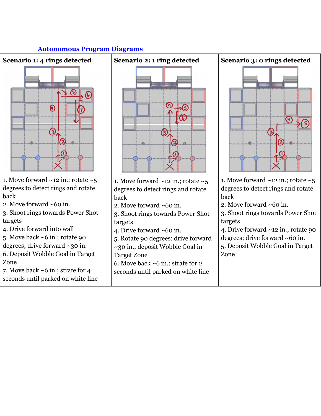#### **Autonomous Program Diagrams**



- 1. Move forward  $\sim$ 12 in.; rotate  $\sim$ 5 degrees to detect rings and rotate back
- 2. Move forward ~60 in.

3. Shoot rings towards Power Shot targets

- 4. Drive forward into wall
- 5. Move back ~6 in.; rotate 90 degrees; drive forward ~30 in.
- 6. Deposit Wobble Goal in Target Zone

7. Move back ~6 in.; strafe for 4 seconds until parked on white line



- 1. Move forward ~12 in.; rotate ~5 degrees to detect rings and rotate back
- 2. Move forward ~60 in.
- 3. Shoot rings towards Power Shot targets
- 4. Drive forward ~60 in.
- 5. Rotate 90 degrees; drive forward
- ~30 in.; deposit Wobble Goal in

Target Zone

6. Move back ~6 in.; strafe for 2 seconds until parked on white line



1. Move forward  $\sim$ 12 in.; rotate  $\sim$ 5 degrees to detect rings and rotate back

2. Move forward ~60 in.

3. Shoot rings towards Power Shot targets

4. Drive forward ~12 in.; rotate 90 degrees; drive forward ~60 in.

5. Deposit Wobble Goal in Target Zone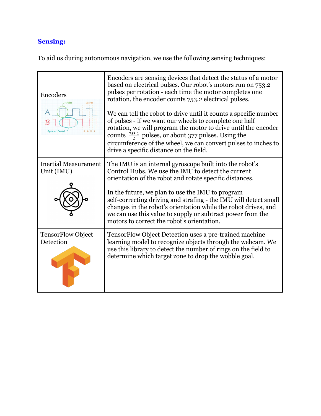# **Sensing:**

To aid us during autonomous navigation, we use the following sensing techniques:

| Encoders<br>Counts                        | Encoders are sensing devices that detect the status of a motor<br>based on electrical pulses. Our robot's motors run on 753.2<br>pulses per rotation - each time the motor completes one<br>rotation, the encoder counts 753.2 electrical pulses.<br>We can tell the robot to drive until it counts a specific number<br>of pulses - if we want our wheels to complete one half<br>rotation, we will program the motor to drive until the encoder<br>counts $\frac{753.2}{2}$ pulses, or about 377 pulses. Using the<br>circumference of the wheel, we can convert pulses to inches to<br>drive a specific distance on the field. |
|-------------------------------------------|-----------------------------------------------------------------------------------------------------------------------------------------------------------------------------------------------------------------------------------------------------------------------------------------------------------------------------------------------------------------------------------------------------------------------------------------------------------------------------------------------------------------------------------------------------------------------------------------------------------------------------------|
| <b>Inertial Measurement</b><br>Unit (IMU) | The IMU is an internal gyroscope built into the robot's<br>Control Hubs. We use the IMU to detect the current<br>orientation of the robot and rotate specific distances.<br>In the future, we plan to use the IMU to program<br>self-correcting driving and strafing - the IMU will detect small<br>changes in the robot's orientation while the robot drives, and<br>we can use this value to supply or subtract power from the<br>motors to correct the robot's orientation.                                                                                                                                                    |
| <b>TensorFlow Object</b><br>Detection     | TensorFlow Object Detection uses a pre-trained machine<br>learning model to recognize objects through the webcam. We<br>use this library to detect the number of rings on the field to<br>determine which target zone to drop the wobble goal.                                                                                                                                                                                                                                                                                                                                                                                    |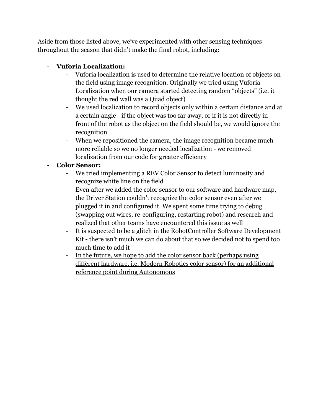Aside from those listed above, we've experimented with other sensing techniques throughout the season that didn't make the final robot, including:

# - **Vuforia Localization:**

- Vuforia localization is used to determine the relative location of objects on the field using image recognition. Originally we tried using Vuforia Localization when our camera started detecting random "objects" (i.e. it thought the red wall was a Quad object)
- We used localization to record objects only within a certain distance and at a certain angle - if the object was too far away, or if it is not directly in front of the robot as the object on the field should be, we would ignore the recognition
- When we repositioned the camera, the image recognition became much more reliable so we no longer needed localization - we removed localization from our code for greater efficiency

# **- Color Sensor:**

- We tried implementing a REV Color Sensor to detect luminosity and recognize white line on the field
- Even after we added the color sensor to our software and hardware map, the Driver Station couldn't recognize the color sensor even after we plugged it in and configured it. We spent some time trying to debug (swapping out wires, re-configuring, restarting robot) and research and realized that other teams have encountered this issue as well
- It is suspected to be a glitch in the RobotController Software Development Kit - there isn't much we can do about that so we decided not to spend too much time to add it
- In the future, we hope to add the color sensor back (perhaps using different hardware, i.e. Modern Robotics color sensor) for an additional reference point during Autonomous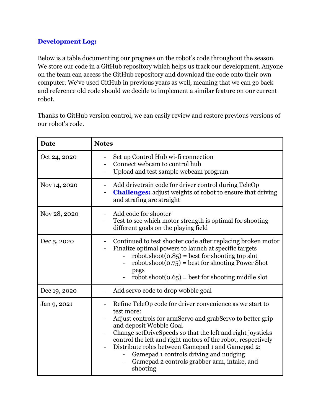## **Development Log:**

Below is a table documenting our progress on the robot's code throughout the season. We store our code in a GitHub repository which helps us track our development. Anyone on the team can access the GitHub repository and download the code onto their own computer. We've used GitHub in previous years as well, meaning that we can go back and reference old code should we decide to implement a similar feature on our current robot.

Thanks to GitHub version control, we can easily review and restore previous versions of our robot's code.

| <b>Date</b>  | <b>Notes</b>                                                                                                                                                                                                                                                                                                                                                                                                                                                                           |
|--------------|----------------------------------------------------------------------------------------------------------------------------------------------------------------------------------------------------------------------------------------------------------------------------------------------------------------------------------------------------------------------------------------------------------------------------------------------------------------------------------------|
| Oct 24, 2020 | Set up Control Hub wi-fi connection<br>-<br>Connect webcam to control hub<br>Upload and test sample webcam program                                                                                                                                                                                                                                                                                                                                                                     |
| Nov 14, 2020 | Add drivetrain code for driver control during TeleOp<br><b>Challenges:</b> adjust weights of robot to ensure that driving<br>and strafing are straight                                                                                                                                                                                                                                                                                                                                 |
| Nov 28, 2020 | Add code for shooter<br>Test to see which motor strength is optimal for shooting<br>-<br>different goals on the playing field                                                                                                                                                                                                                                                                                                                                                          |
| Dec 5, 2020  | Continued to test shooter code after replacing broken motor<br>$\qquad \qquad \blacksquare$<br>Finalize optimal powers to launch at specific targets<br>robot.shoot $(0.85)$ = best for shooting top slot<br>robot.shoot $(0.75)$ = best for shooting Power Shot<br>pegs<br>robot.shoot $(0.65)$ = best for shooting middle slot                                                                                                                                                       |
| Dec 19, 2020 | Add servo code to drop wobble goal<br>$\qquad \qquad \blacksquare$                                                                                                                                                                                                                                                                                                                                                                                                                     |
| Jan 9, 2021  | Refine TeleOp code for driver convenience as we start to<br>test more:<br>Adjust controls for armServo and grabServo to better grip<br>and deposit Wobble Goal<br>Change setDriveSpeeds so that the left and right joysticks<br>control the left and right motors of the robot, respectively<br>Distribute roles between Gamepad 1 and Gamepad 2:<br>$\qquad \qquad \blacksquare$<br>Gamepad 1 controls driving and nudging<br>Gamepad 2 controls grabber arm, intake, and<br>shooting |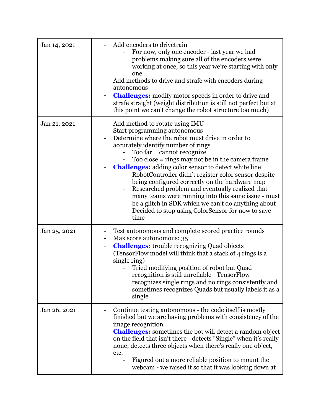| Jan 14, 2021 | Add encoders to drivetrain<br>For now, only one encoder - last year we had<br>problems making sure all of the encoders were<br>working at once, so this year we're starting with only<br>one<br>Add methods to drive and strafe with encoders during<br>autonomous<br><b>Challenges:</b> modify motor speeds in order to drive and<br>strafe straight (weight distribution is still not perfect but at<br>this point we can't change the robot structure too much)                                                                                                                                                                                        |
|--------------|-----------------------------------------------------------------------------------------------------------------------------------------------------------------------------------------------------------------------------------------------------------------------------------------------------------------------------------------------------------------------------------------------------------------------------------------------------------------------------------------------------------------------------------------------------------------------------------------------------------------------------------------------------------|
| Jan 21, 2021 | Add method to rotate using IMU<br>Start programming autonomous<br>۰<br>Determine where the robot must drive in order to<br>accurately identify number of rings<br>Too far = cannot recognize<br>Too close $=$ rings may not be in the camera frame<br><b>Challenges:</b> adding color sensor to detect white line<br>RobotController didn't register color sensor despite<br>being configured correctly on the hardware map<br>Researched problem and eventually realized that<br>many teams were running into this same issue - must<br>be a glitch in SDK which we can't do anything about<br>Decided to stop using ColorSensor for now to save<br>time |
| Jan 25, 2021 | Test autonomous and complete scored practice rounds<br>Max score autonomous: 35<br><b>Challenges:</b> trouble recognizing Quad objects<br>-<br>(TensorFlow model will think that a stack of 4 rings is a<br>single ring)<br>Tried modifying position of robot but Quad<br>recognition is still unreliable-TensorFlow<br>recognizes single rings and no rings consistently and<br>sometimes recognizes Quads but usually labels it as a<br>single                                                                                                                                                                                                          |
| Jan 26, 2021 | Continue testing autonomous - the code itself is mostly<br>finished but we are having problems with consistency of the<br>image recognition<br><b>Challenges:</b> sometimes the bot will detect a random object<br>$\qquad \qquad \blacksquare$<br>on the field that isn't there - detects "Single" when it's really<br>none; detects three objects when there's really one object,<br>etc.<br>Figured out a more reliable position to mount the<br>webcam - we raised it so that it was looking down at                                                                                                                                                  |